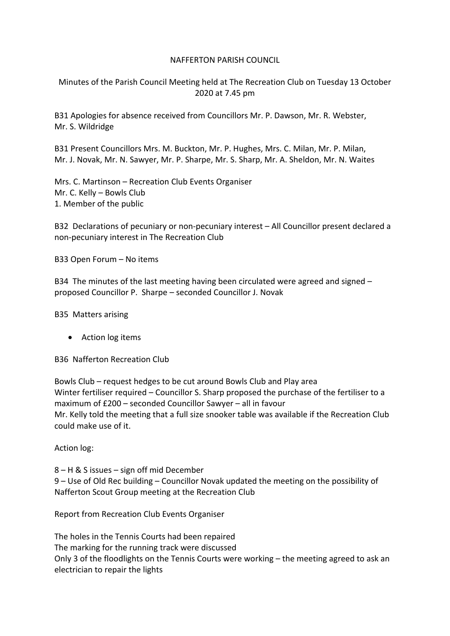## NAFFERTON PARISH COUNCIL

Minutes of the Parish Council Meeting held at The Recreation Club on Tuesday 13 October 2020 at 7.45 pm

B31 Apologies for absence received from Councillors Mr. P. Dawson, Mr. R. Webster, Mr. S. Wildridge

B31 Present Councillors Mrs. M. Buckton, Mr. P. Hughes, Mrs. C. Milan, Mr. P. Milan, Mr. J. Novak, Mr. N. Sawyer, Mr. P. Sharpe, Mr. S. Sharp, Mr. A. Sheldon, Mr. N. Waites

Mrs. C. Martinson – Recreation Club Events Organiser Mr. C. Kelly – Bowls Club 1. Member of the public

B32 Declarations of pecuniary or non-pecuniary interest – All Councillor present declared a non-pecuniary interest in The Recreation Club

B33 Open Forum – No items

B34 The minutes of the last meeting having been circulated were agreed and signed – proposed Councillor P. Sharpe – seconded Councillor J. Novak

B35 Matters arising

• Action log items

B36 Nafferton Recreation Club

Bowls Club – request hedges to be cut around Bowls Club and Play area Winter fertiliser required – Councillor S. Sharp proposed the purchase of the fertiliser to a maximum of £200 – seconded Councillor Sawyer – all in favour Mr. Kelly told the meeting that a full size snooker table was available if the Recreation Club could make use of it.

Action log:

8 – H & S issues – sign off mid December 9 – Use of Old Rec building – Councillor Novak updated the meeting on the possibility of Nafferton Scout Group meeting at the Recreation Club

Report from Recreation Club Events Organiser

The holes in the Tennis Courts had been repaired The marking for the running track were discussed Only 3 of the floodlights on the Tennis Courts were working – the meeting agreed to ask an electrician to repair the lights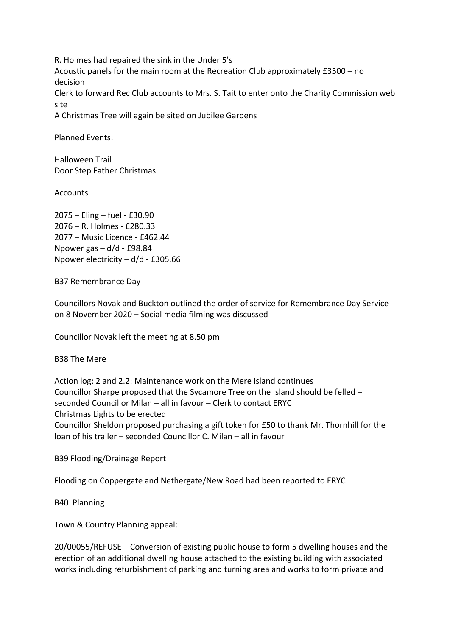R. Holmes had repaired the sink in the Under 5's Acoustic panels for the main room at the Recreation Club approximately £3500 – no decision Clerk to forward Rec Club accounts to Mrs. S. Tait to enter onto the Charity Commission web site

A Christmas Tree will again be sited on Jubilee Gardens

Planned Events:

Halloween Trail Door Step Father Christmas

Accounts

2075 – Eling – fuel - £30.90 2076 – R. Holmes - £280.33 2077 – Music Licence - £462.44 Npower gas – d/d - £98.84 Npower electricity – d/d - £305.66

B37 Remembrance Day

Councillors Novak and Buckton outlined the order of service for Remembrance Day Service on 8 November 2020 – Social media filming was discussed

Councillor Novak left the meeting at 8.50 pm

B38 The Mere

Action log: 2 and 2.2: Maintenance work on the Mere island continues Councillor Sharpe proposed that the Sycamore Tree on the Island should be felled – seconded Councillor Milan – all in favour – Clerk to contact ERYC Christmas Lights to be erected Councillor Sheldon proposed purchasing a gift token for £50 to thank Mr. Thornhill for the loan of his trailer – seconded Councillor C. Milan – all in favour

B39 Flooding/Drainage Report

Flooding on Coppergate and Nethergate/New Road had been reported to ERYC

B40 Planning

Town & Country Planning appeal:

20/00055/REFUSE – Conversion of existing public house to form 5 dwelling houses and the erection of an additional dwelling house attached to the existing building with associated works including refurbishment of parking and turning area and works to form private and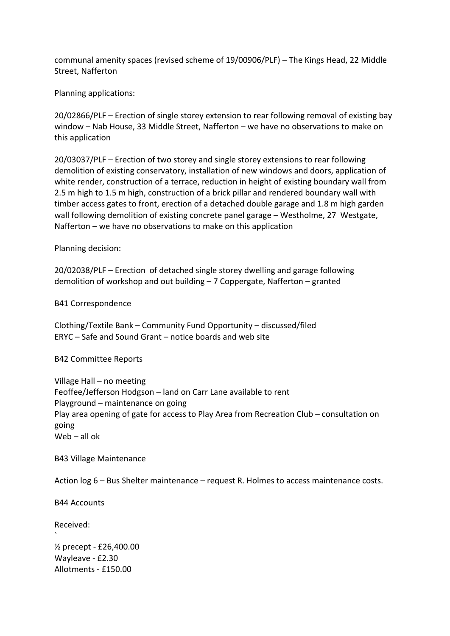communal amenity spaces (revised scheme of 19/00906/PLF) – The Kings Head, 22 Middle Street, Nafferton

Planning applications:

20/02866/PLF – Erection of single storey extension to rear following removal of existing bay window – Nab House, 33 Middle Street, Nafferton – we have no observations to make on this application

20/03037/PLF – Erection of two storey and single storey extensions to rear following demolition of existing conservatory, installation of new windows and doors, application of white render, construction of a terrace, reduction in height of existing boundary wall from 2.5 m high to 1.5 m high, construction of a brick pillar and rendered boundary wall with timber access gates to front, erection of a detached double garage and 1.8 m high garden wall following demolition of existing concrete panel garage – Westholme, 27 Westgate, Nafferton – we have no observations to make on this application

Planning decision:

20/02038/PLF – Erection of detached single storey dwelling and garage following demolition of workshop and out building – 7 Coppergate, Nafferton – granted

B41 Correspondence

Clothing/Textile Bank – Community Fund Opportunity – discussed/filed ERYC – Safe and Sound Grant – notice boards and web site

B42 Committee Reports

Village Hall – no meeting Feoffee/Jefferson Hodgson – land on Carr Lane available to rent Playground – maintenance on going Play area opening of gate for access to Play Area from Recreation Club – consultation on going Web – all ok

B43 Village Maintenance

Action log 6 – Bus Shelter maintenance – request R. Holmes to access maintenance costs.

B44 Accounts

Received:

`

½ precept - £26,400.00 Wayleave - £2.30 Allotments - £150.00